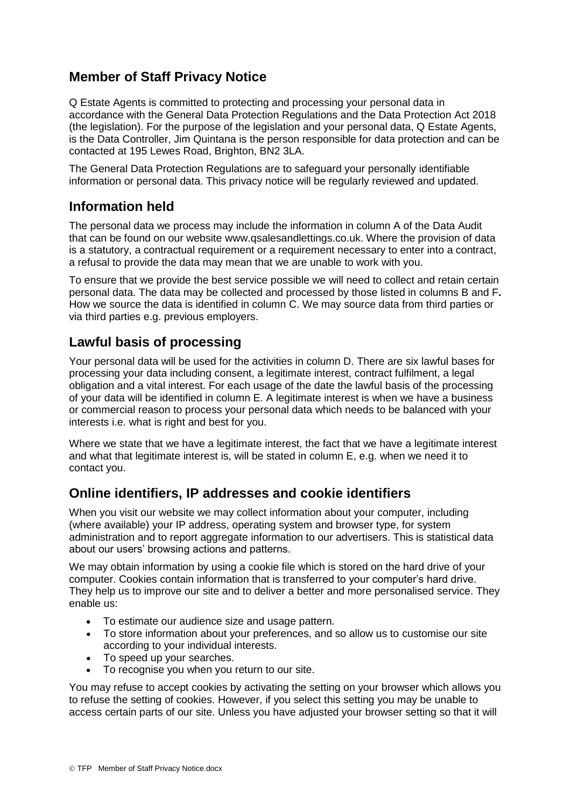# **Member of Staff Privacy Notice**

Q Estate Agents is committed to protecting and processing your personal data in accordance with the General Data Protection Regulations and the Data Protection Act 2018 (the legislation). For the purpose of the legislation and your personal data, Q Estate Agents, is the Data Controller, Jim Quintana is the person responsible for data protection and can be contacted at 195 Lewes Road, Brighton, BN2 3LA.

The General Data Protection Regulations are to safeguard your personally identifiable information or personal data. This privacy notice will be regularly reviewed and updated.

## **Information held**

The personal data we process may include the information in column A of the Data Audit that can be found on our website www.qsalesandlettings.co.uk. Where the provision of data is a statutory, a contractual requirement or a requirement necessary to enter into a contract, a refusal to provide the data may mean that we are unable to work with you.

To ensure that we provide the best service possible we will need to collect and retain certain personal data. The data may be collected and processed by those listed in columns B and F**.**  How we source the data is identified in column C. We may source data from third parties or via third parties e.g. previous employers.

## **Lawful basis of processing**

Your personal data will be used for the activities in column D. There are six lawful bases for processing your data including consent, a legitimate interest, contract fulfilment, a legal obligation and a vital interest. For each usage of the date the lawful basis of the processing of your data will be identified in column E. A legitimate interest is when we have a business or commercial reason to process your personal data which needs to be balanced with your interests i.e. what is right and best for you.

Where we state that we have a legitimate interest, the fact that we have a legitimate interest and what that legitimate interest is, will be stated in column E, e.g. when we need it to contact you.

# **Online identifiers, IP addresses and cookie identifiers**

When you visit our website we may collect information about your computer, including (where available) your IP address, operating system and browser type, for system administration and to report aggregate information to our advertisers. This is statistical data about our users' browsing actions and patterns.

We may obtain information by using a cookie file which is stored on the hard drive of your computer. Cookies contain information that is transferred to your computer's hard drive. They help us to improve our site and to deliver a better and more personalised service. They enable us:

- To estimate our audience size and usage pattern.
- To store information about your preferences, and so allow us to customise our site according to your individual interests.
- To speed up your searches.
- To recognise you when you return to our site.

You may refuse to accept cookies by activating the setting on your browser which allows you to refuse the setting of cookies. However, if you select this setting you may be unable to access certain parts of our site. Unless you have adjusted your browser setting so that it will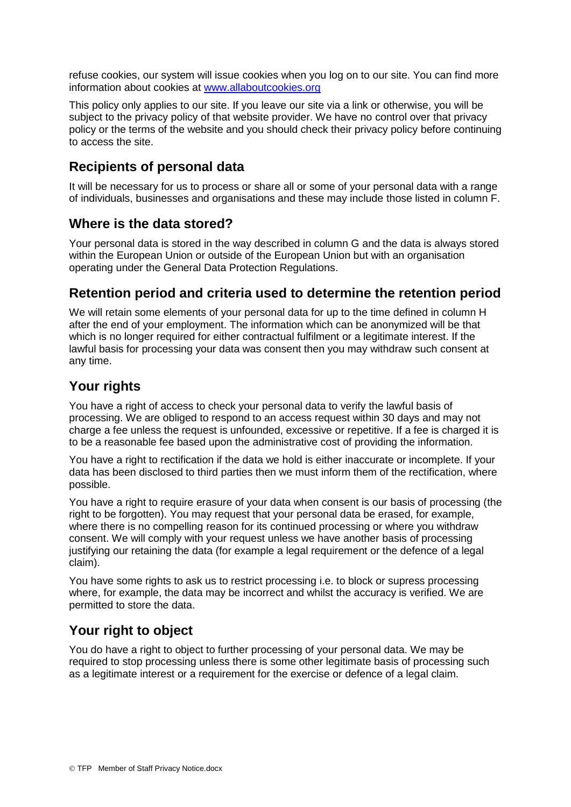refuse cookies, our system will issue cookies when you log on to our site. You can find more information about cookies at [www.allaboutcookies.org](http://www.allaboutcookies.org/)

This policy only applies to our site. If you leave our site via a link or otherwise, you will be subject to the privacy policy of that website provider. We have no control over that privacy policy or the terms of the website and you should check their privacy policy before continuing to access the site.

### **Recipients of personal data**

It will be necessary for us to process or share all or some of your personal data with a range of individuals, businesses and organisations and these may include those listed in column F.

#### **Where is the data stored?**

Your personal data is stored in the way described in column G and the data is always stored within the European Union or outside of the European Union but with an organisation operating under the General Data Protection Regulations.

#### **Retention period and criteria used to determine the retention period**

We will retain some elements of your personal data for up to the time defined in column H after the end of your employment. The information which can be anonymized will be that which is no longer required for either contractual fulfilment or a legitimate interest. If the lawful basis for processing your data was consent then you may withdraw such consent at any time.

### **Your rights**

You have a right of access to check your personal data to verify the lawful basis of processing. We are obliged to respond to an access request within 30 days and may not charge a fee unless the request is unfounded, excessive or repetitive. If a fee is charged it is to be a reasonable fee based upon the administrative cost of providing the information.

You have a right to rectification if the data we hold is either inaccurate or incomplete. If your data has been disclosed to third parties then we must inform them of the rectification, where possible.

You have a right to require erasure of your data when consent is our basis of processing (the right to be forgotten). You may request that your personal data be erased, for example, where there is no compelling reason for its continued processing or where you withdraw consent. We will comply with your request unless we have another basis of processing justifying our retaining the data (for example a legal requirement or the defence of a legal claim).

You have some rights to ask us to restrict processing i.e. to block or supress processing where, for example, the data may be incorrect and whilst the accuracy is verified. We are permitted to store the data.

# **Your right to object**

You do have a right to object to further processing of your personal data. We may be required to stop processing unless there is some other legitimate basis of processing such as a legitimate interest or a requirement for the exercise or defence of a legal claim.